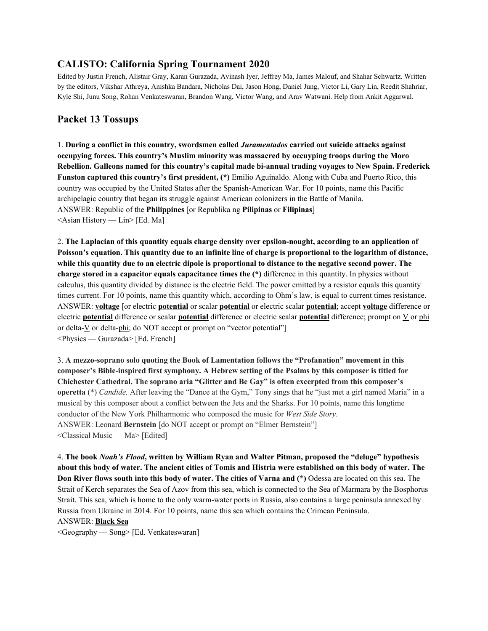## **CALISTO: California Spring Tournament 2020**

Edited by Justin French, Alistair Gray, Karan Gurazada, Avinash Iyer, Jeffrey Ma, James Malouf, and Shahar Schwartz. Written by the editors, Vikshar Athreya, Anishka Bandara, Nicholas Dai, Jason Hong, Daniel Jung, Victor Li, Gary Lin, Reedit Shahriar, Kyle Shi, Junu Song, Rohan Venkateswaran, Brandon Wang, Victor Wang, and Arav Watwani. Help from Ankit Aggarwal.

# **Packet 13 Tossups**

1. **During a conflict in this country, swordsmen called** *Juramentados* **carried out suicide attacks against occupying forces. This country's Muslim minority was massacred by occuyping troops during the Moro Rebellion. Galleons named for this country's capital made bi-annual trading voyages to New Spain. Frederick Funston captured this country's first president, (\*)** Emilio Aguinaldo. Along with Cuba and Puerto Rico, this country was occupied by the United States after the Spanish-American War. For 10 points, name this Pacific archipelagic country that began its struggle against American colonizers in the Battle of Manila. ANSWER: Republic of the **Philippines** [or Republika ng **Pilipinas** or **Filipinas**]  $\leq$ Asian History — Lin $>$  [Ed. Ma]

2. **The Laplacian of this quantity equals charge density over epsilon-nought, according to an application of** Poisson's equation. This quantity due to an infinite line of charge is proportional to the logarithm of distance, while this quantity due to an electric dipole is proportional to distance to the negative second power. The **charge stored in a capacitor equals capacitance times the (\*)** difference in this quantity. In physics without calculus, this quantity divided by distance is the electric field. The power emitted by a resistor equals this quantity times current. For 10 points, name this quantity which, according to Ohm's law, is equal to current times resistance. ANSWER: **voltage** [or electric **potential** or scalar **potential** or electric scalar **potential**; accept **voltage** difference or electric **potential** difference or scalar **potential** difference or electric scalar **potential** difference; prompt on V or phi or delta-V or delta-phi; do NOT accept or prompt on "vector potential"] <Physics — Gurazada> [Ed. French]

3. **A mezzo-soprano solo quoting the Book of Lamentation follows the "Profanation" movement in this composer's Bible-inspired first symphony. A Hebrew setting of the Psalms by this composer is titled for Chichester Cathedral. The soprano aria "Glitter and Be Gay" is often excerpted from this composer's operetta** (\*) *Candide.* After leaving the "Dance at the Gym," Tony sings that he "just met a girl named Maria" in a musical by this composer about a conflict between the Jets and the Sharks. For 10 points, name this longtime conductor of the New York Philharmonic who composed the music for *West Side Story*. ANSWER: Leonard **Bernstein** [do NOT accept or prompt on "Elmer Bernstein"] <Classical Music — Ma> [Edited]

4. **The book** *Noah's Flood***, written by William Ryan and Walter Pitman, proposed the "deluge" hypothesis** about this body of water. The ancient cities of Tomis and Histria were established on this body of water. The **Don River flows south into this body of water. The cities of Varna and (\*)** Odessa are located on this sea. The Strait of Kerch separates the Sea of Azov from this sea, which is connected to the Sea of Marmara by the Bosphorus Strait. This sea, which is home to the only warm-water ports in Russia, also contains a large peninsula annexed by Russia from Ukraine in 2014. For 10 points, name this sea which contains the Crimean Peninsula. ANSWER: **Black Sea**

<Geography — Song> [Ed. Venkateswaran]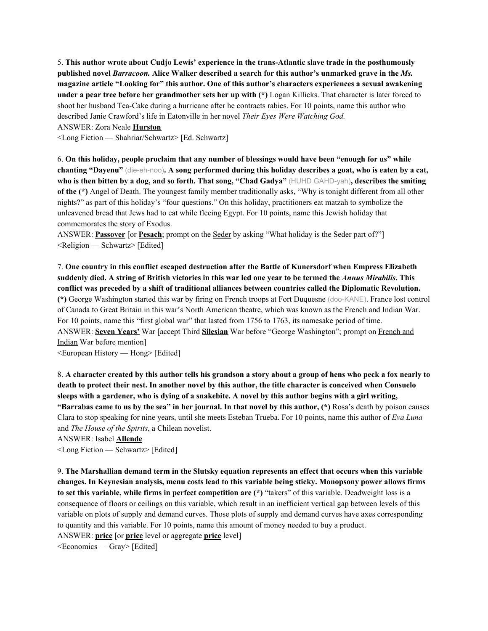5. **This author wrote about Cudjo Lewis' experience in the trans-Atlantic slave trade in the posthumously published novel** *Barracoon.* **Alice Walker described a search for this author's unmarked grave in the** *Ms.* **magazine article "Looking for" this author. One of this author's characters experiences a sexual awakening under a pear tree before her grandmother sets her up with (\*)** Logan Killicks. That character is later forced to shoot her husband Tea-Cake during a hurricane after he contracts rabies. For 10 points, name this author who described Janie Crawford's life in Eatonville in her novel *Their Eyes Were Watching God.* ANSWER: Zora Neale **Hurston**

<Long Fiction — Shahriar/Schwartz> [Ed. Schwartz]

6. **On this holiday, people proclaim that any number of blessings would have been "enough for us" while** chanting "Dayenu" (die-eh-noo). A song performed during this holiday describes a goat, who is eaten by a cat, who is then bitten by a dog, and so forth. That song, "Chad Gadya" (HUHD GAHD-yah), describes the smiting **of the (\*)** Angel of Death. The youngest family member traditionally asks, "Why is tonight different from all other nights?" as part of this holiday's "four questions." On this holiday, practitioners eat matzah to symbolize the unleavened bread that Jews had to eat while fleeing Egypt. For 10 points, name this Jewish holiday that commemorates the story of Exodus.

ANSWER: **Passover** [or **Pesach**; prompt on the Seder by asking "What holiday is the Seder part of?"] <Religion — Schwartz> [Edited]

7. **One country in this conflict escaped destruction after the Battle of Kunersdorf when Empress Elizabeth** suddenly died. A string of British victories in this war led one year to be termed the Annus Mirabilis. This **conflict was preceded by a shift of traditional alliances between countries called the Diplomatic Revolution. (\*)** George Washington started this war by firing on French troops at Fort Duquesne (doo-KANE). France lost control of Canada to Great Britain in this war's North American theatre, which was known as the French and Indian War. For 10 points, name this "first global war" that lasted from 1756 to 1763, its namesake period of time. ANSWER: **Seven Years'** War [accept Third **Silesian** War before "George Washington"; prompt on French and Indian War before mention]

<European History — Hong> [Edited]

8. A character created by this author tells his grandson a story about a group of hens who peck a fox nearly to death to protect their nest. In another novel by this author, the title character is conceived when Consuelo sleeps with a gardener, who is dying of a snakebite. A novel by this author begins with a girl writing, "Barrabas came to us by the sea" in her journal. In that novel by this author, (\*) Rosa's death by poison causes Clara to stop speaking for nine years, until she meets Esteban Trueba. For 10 points, name this author of *Eva Luna* and *The House of the Spirits*, a Chilean novelist.

ANSWER: Isabel **Allende**

<Long Fiction — Schwartz> [Edited]

9. **The Marshallian demand term in the Slutsky equation represents an effect that occurs when this variable changes. In Keynesian analysis, menu costs lead to this variable being sticky. Monopsony power allows firms to set this variable, while firms in perfect competition are (\*)** "takers" of this variable. Deadweight loss is a consequence of floors or ceilings on this variable, which result in an inefficient vertical gap between levels of this variable on plots of supply and demand curves. Those plots of supply and demand curves have axes corresponding to quantity and this variable. For 10 points, name this amount of money needed to buy a product. ANSWER: **price** [or **price** level or aggregate **price** level]

<Economics — Gray> [Edited]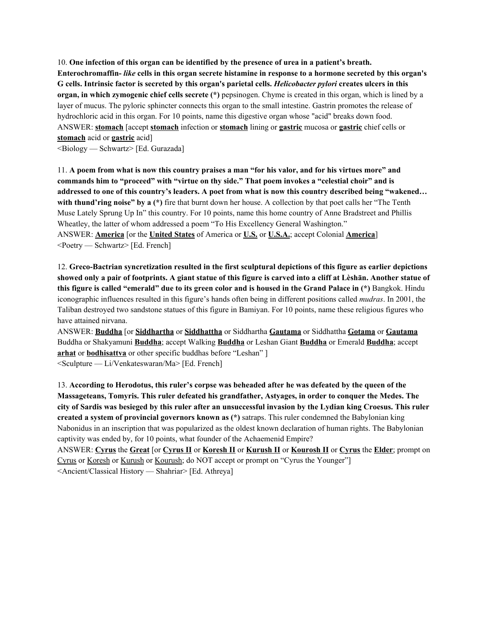10. **One infection of this organ can be identified by the presence of urea in a patient's breath.** Enterochromaffin- like cells in this organ secrete histamine in response to a hormone secreted by this organ's G cells. Intrinsic factor is secreted by this organ's parietal cells. *Helicobacter pylori* creates ulcers in this **organ, in which zymogenic chief cells secrete (\*)** pepsinogen. Chyme is created in this organ, which is lined by a layer of mucus. The pyloric sphincter connects this organ to the small intestine. Gastrin promotes the release of hydrochloric acid in this organ. For 10 points, name this digestive organ whose "acid" breaks down food. ANSWER: **stomach** [accept **stomach** infection or **stomach** lining or **gastric** mucosa or **gastric** chief cells or **stomach** acid or **gastric** acid]

<Biology — Schwartz> [Ed. Gurazada]

11. A poem from what is now this country praises a man "for his valor, and for his virtues more" and **commands him to "proceed" with "virtue on thy side." That poem invokes a "celestial choir" and is** addressed to one of this country's leaders. A poet from what is now this country described being "wakened... **with thund'ring noise" by a (\*)** fire that burnt down her house. A collection by that poet calls her "The Tenth Muse Lately Sprung Up In" this country. For 10 points, name this home country of Anne Bradstreet and Phillis Wheatley, the latter of whom addressed a poem "To His Excellency General Washington." ANSWER: **America** [or the **United States** of America or **U.S.** or **U.S.A.**; accept Colonial **America**] <Poetry — Schwartz> [Ed. French]

12. **Greco-Bactrian syncretization resulted in the first sculptural depictions of this figure as earlier depictions** showed only a pair of footprints. A giant statue of this figure is carved into a cliff at Lèshan. Another statue of this figure is called "emerald" due to its green color and is housed in the Grand Palace in (\*) Bangkok. Hindu iconographic influences resulted in this figure's hands often being in different positions called *mudras*. In 2001, the Taliban destroyed two sandstone statues of this figure in Bamiyan. For 10 points, name these religious figures who have attained nirvana.

ANSWER: **Buddha** [or **Siddhartha** or **Siddhattha** or Siddhartha **Gautama** or Siddhattha **Gotama** or **Gautama** Buddha or Shakyamuni **Buddha**; accept Walking **Buddha** or Leshan Giant **Buddha** or Emerald **Buddha**; accept **arhat** or **bodhisattva** or other specific buddhas before "Leshan" ] <Sculpture — Li/Venkateswaran/Ma> [Ed. French]

13. **According to Herodotus, this ruler's corpse was beheaded after he was defeated by the queen of the Massageteans, Tomyris. This ruler defeated his grandfather, Astyages, in order to conquer the Medes. The** city of Sardis was besieged by this ruler after an unsuccessful invasion by the Lydian king Croesus. This ruler **created a system of provincial governors known as (\*)** satraps. This ruler condemned the Babylonian king Nabonidus in an inscription that was popularized as the oldest known declaration of human rights. The Babylonian captivity was ended by, for 10 points, what founder of the Achaemenid Empire?

ANSWER: **Cyrus** the **Great** [or **Cyrus II** or **Koresh II** or **Kurush II** or **Kourosh II** or **Cyrus** the **Elder**; prompt on Cyrus or Koresh or Kurush or Kourush; do NOT accept or prompt on "Cyrus the Younger"] <Ancient/Classical History — Shahriar> [Ed. Athreya]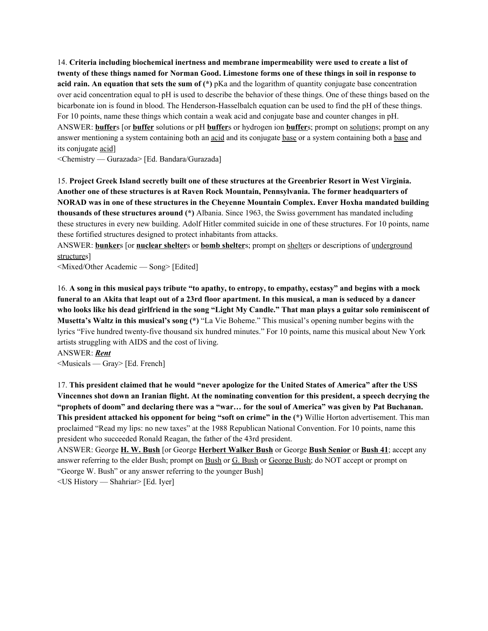14. **Criteria including biochemical inertness and membrane impermeability were used to create a list of** twenty of these things named for Norman Good. Limestone forms one of these things in soil in response to **acid rain. An equation that sets the sum of (\*)** pKa and the logarithm of quantity conjugate base concentration over acid concentration equal to pH is used to describe the behavior of these things. One of these things based on the bicarbonate ion is found in blood. The Henderson-Hasselbalch equation can be used to find the pH of these things. For 10 points, name these things which contain a weak acid and conjugate base and counter changes in pH. ANSWER: **buffer**s [or **buffer** solutions or pH **buffer**s or hydrogen ion **buffer**s; prompt on solutions; prompt on any answer mentioning a system containing both an acid and its conjugate base or a system containing both a base and its conjugate acid]

<Chemistry — Gurazada> [Ed. Bandara/Gurazada]

15. **Project Greek Island secretly built one of these structures at the Greenbrier Resort in West Virginia. Another one of these structures is at Raven Rock Mountain, Pennsylvania. The former headquarters of NORAD was in one of these structures in the Cheyenne Mountain Complex. Enver Hoxha mandated building thousands of these structures around (\*)** Albania. Since 1963, the Swiss government has mandated including these structures in every new building. Adolf Hitler commited suicide in one of these structures. For 10 points, name these fortified structures designed to protect inhabitants from attacks.

ANSWER: **bunker**s [or **nuclear shelter**s or **bomb shelter**s; prompt on shelters or descriptions of underground structures]

<Mixed/Other Academic — Song> [Edited]

16. A song in this musical pays tribute "to apathy, to entropy, to empathy, ecstasy" and begins with a mock funeral to an Akita that leapt out of a 23rd floor apartment. In this musical, a man is seduced by a dancer who looks like his dead girlfriend in the song "Light My Candle." That man plays a guitar solo reminiscent of **Musetta's Waltz in this musical's song (\*)** "La Vie Boheme." This musical's opening number begins with the lyrics "Five hundred twenty-five thousand six hundred minutes." For 10 points, name this musical about New York artists struggling with AIDS and the cost of living.

ANSWER: *Rent*

<Musicals — Gray> [Ed. French]

17. **This president claimed that he would "never apologize for the United States of America" after the USS** Vincennes shot down an Iranian flight. At the nominating convention for this president, a speech decrying the "prophets of doom" and declaring there was a "war... for the soul of America" was given by Pat Buchanan. **This president attacked his opponent for being "soft on crime" in the (\*)** Willie Horton advertisement. This man proclaimed "Read my lips: no new taxes" at the 1988 Republican National Convention. For 10 points, name this president who succeeded Ronald Reagan, the father of the 43rd president.

ANSWER: George **H. W. Bush** [or George **Herbert Walker Bush** or George **Bush Senior** or **Bush 41**; accept any answer referring to the elder Bush; prompt on Bush or G. Bush or George Bush; do NOT accept or prompt on "George W. Bush" or any answer referring to the younger Bush]

<US History — Shahriar> [Ed. Iyer]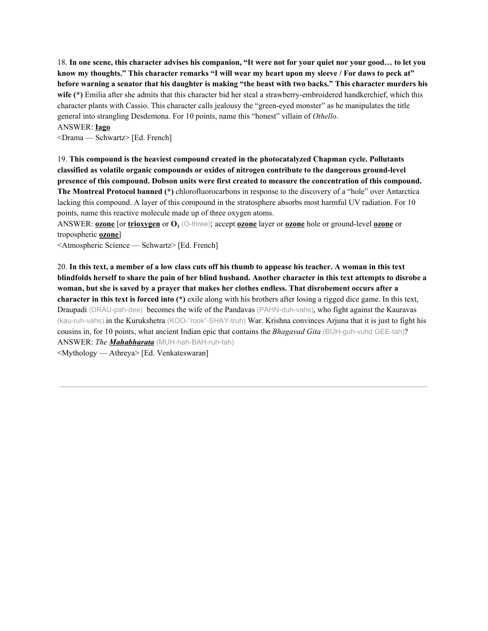18. In one scene, this character advises his companion, "It were not for your quiet nor your good... to let you know my thoughts." This character remarks "I will wear my heart upon my sleeve / For daws to peck at" before warning a senator that his daughter is making "the beast with two backs." This character murders his **wife (\*)** Emilia after she admits that this character bid her steal a strawberry-embroidered handkerchief, which this character plants with Cassio. This character calls jealousy the "green-eyed monster" as he manipulates the title general into strangling Desdemona. For 10 points, name this "honest" villain of *Othello*.

### ANSWER: **Iago**

<Drama — Schwartz> [Ed. French]

19. **This compound is the heaviest compound created in the photocatalyzed Chapman cycle. Pollutants classified as volatile organic compounds or oxides of nitrogen contribute to the dangerous ground-level presence of this compound. Dobson units were first created to measure the concentration of this compound. The Montreal Protocol banned (\*)** chlorofluorocarbons in response to the discovery of a "hole" over Antarctica lacking this compound. A layer of this compound in the stratosphere absorbs most harmful UV radiation. For 10 points, name this reactive molecule made up of three oxygen atoms.

ANSWER: **ozone** [or **trioxygen** or **O<sup>3</sup>** (O-three); accept **ozone** layer or **ozone** hole or ground-level **ozone** or tropospheric **ozone**]

<Atmospheric Science — Schwartz> [Ed. French]

20. In this text, a member of a low class cuts off his thumb to appease his teacher. A woman in this text blindfolds herself to share the pain of her blind husband. Another character in this text attempts to disrobe a woman, but she is saved by a prayer that makes her clothes endless. That disrobement occurs after a **character in this text is forced into (\*)** exile along with his brothers after losing a rigged dice game. In this text, Draupadi (DRAU-pah-dee) becomes the wife of the Pandavas (PAHN-duh-vahs), who fight against the Kauravas (kau-ruh-vahs) in the Kurukshetra (KOO-"rook"-SHAY-truh) War. Krishna convinces Arjuna that it is just to fight his cousins in, for 10 points, what ancient Indian epic that contains the *Bhagavad Gita* (BUH-guh-vuhd GEE-tah)? ANSWER: *The Mahabharata* (MUH-hah-BAH-ruh-tah)

<Mythology — Athreya> [Ed. Venkateswaran]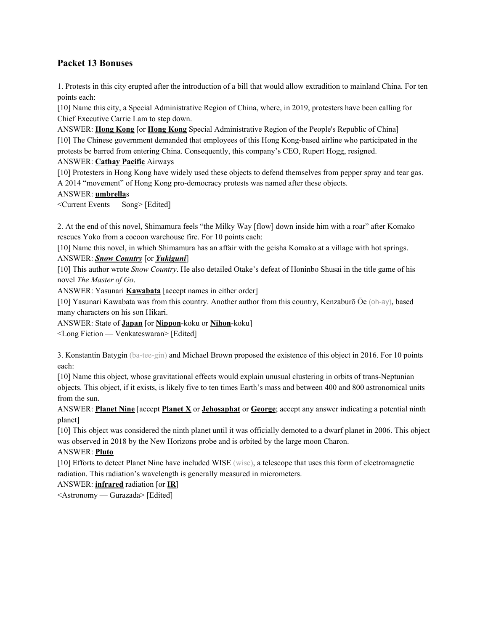## **Packet 13 Bonuses**

1. Protests in this city erupted after the introduction of a bill that would allow extradition to mainland China. For ten points each:

[10] Name this city, a Special Administrative Region of China, where, in 2019, protesters have been calling for Chief Executive Carrie Lam to step down.

ANSWER: **Hong Kong** [or **Hong Kong** Special Administrative Region of the People's Republic of China] [10] The Chinese government demanded that employees of this Hong Kong-based airline who participated in the protests be barred from entering China. Consequently, this company's CEO, Rupert Hogg, resigned.

#### ANSWER: **Cathay Pacific** Airways

[10] Protesters in Hong Kong have widely used these objects to defend themselves from pepper spray and tear gas. A 2014 "movement" of Hong Kong pro-democracy protests was named after these objects.

#### ANSWER: **umbrella**s

<Current Events — Song> [Edited]

2. At the end of this novel, Shimamura feels "the Milky Way [flow] down inside him with a roar" after Komako rescues Yoko from a cocoon warehouse fire. For 10 points each:

[10] Name this novel, in which Shimamura has an affair with the geisha Komako at a village with hot springs. ANSWER: *Snow Country* [or *Yukiguni*]

[10] This author wrote *Snow Country*. He also detailed Otake's defeat of Honinbo Shusai in the title game of his novel *The Master of Go*.

ANSWER: Yasunari **Kawabata** [accept names in either order]

[10] Yasunari Kawabata was from this country. Another author from this country, Kenzaburō Ōe (oh-ay), based many characters on his son Hikari.

ANSWER: State of **Japan** [or **Nippon**-koku or **Nihon**-koku]

<Long Fiction — Venkateswaran> [Edited]

3. Konstantin Batygin (ba-tee-gin) and Michael Brown proposed the existence of this object in 2016. For 10 points each:

[10] Name this object, whose gravitational effects would explain unusual clustering in orbits of trans-Neptunian objects. This object, if it exists, is likely five to ten times Earth's mass and between 400 and 800 astronomical units from the sun.

ANSWER: **Planet Nine** [accept **Planet X** or **Jehosaphat** or **George**; accept any answer indicating a potential ninth planet]

[10] This object was considered the ninth planet until it was officially demoted to a dwarf planet in 2006. This object was observed in 2018 by the New Horizons probe and is orbited by the large moon Charon.

#### ANSWER: **Pluto**

[10] Efforts to detect Planet Nine have included WISE (wise), a telescope that uses this form of electromagnetic radiation. This radiation's wavelength is generally measured in micrometers.

#### ANSWER: **infrared** radiation [or **IR**]

<Astronomy — Gurazada> [Edited]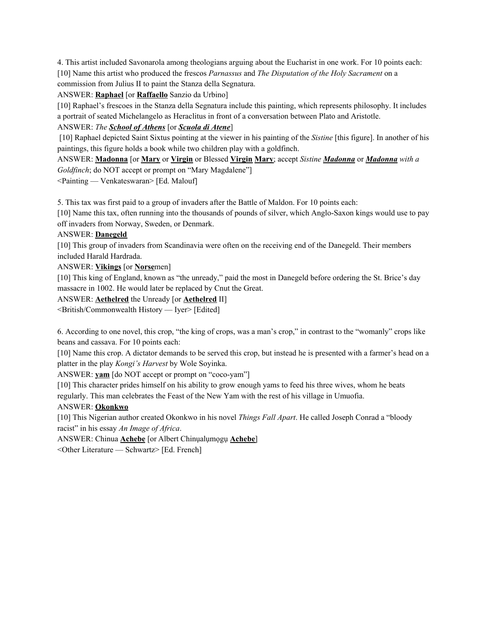4. This artist included Savonarola among theologians arguing about the Eucharist in one work. For 10 points each: [10] Name this artist who produced the frescos *Parnassus* and *The Disputation of the Holy Sacrament* on a commission from Julius II to paint the Stanza della Segnatura.

ANSWER: **Raphael** [or **Raffaello** Sanzio da Urbino]

[10] Raphael's frescoes in the Stanza della Segnatura include this painting, which represents philosophy. It includes a portrait of seated Michelangelo as Heraclitus in front of a conversation between Plato and Aristotle.

ANSWER: *The School of Athens* [or *Scuola di Atene*]

[10] Raphael depicted Saint Sixtus pointing at the viewer in his painting of the *Sistine* [this figure]. In another of his paintings, this figure holds a book while two children play with a goldfinch.

ANSWER: **Madonna** [or **Mary** or **Virgin** or Blessed **Virgin Mary**; accept *Sistine Madonna* or *Madonna with a Goldfinch*; do NOT accept or prompt on "Mary Magdalene"]

<Painting — Venkateswaran> [Ed. Malouf]

5. This tax was first paid to a group of invaders after the Battle of Maldon. For 10 points each:

[10] Name this tax, often running into the thousands of pounds of silver, which Anglo-Saxon kings would use to pay off invaders from Norway, Sweden, or Denmark.

#### ANSWER: **Danegeld**

[10] This group of invaders from Scandinavia were often on the receiving end of the Danegeld. Their members included Harald Hardrada.

ANSWER: **Vikings** [or **Norse**men]

[10] This king of England, known as "the unready," paid the most in Danegeld before ordering the St. Brice's day massacre in 1002. He would later be replaced by Cnut the Great.

ANSWER: **Aethelred** the Unready [or **Aethelred** II]

<British/Commonwealth History — Iyer> [Edited]

6. According to one novel, this crop, "the king of crops, was a man's crop," in contrast to the "womanly" crops like beans and cassava. For 10 points each:

[10] Name this crop. A dictator demands to be served this crop, but instead he is presented with a farmer's head on a platter in the play *Kongi's Harvest* by Wole Soyinka.

ANSWER: **yam** [do NOT accept or prompt on "coco-yam"]

[10] This character prides himself on his ability to grow enough yams to feed his three wives, whom he beats regularly. This man celebrates the Feast of the New Yam with the rest of his village in Umuofia.

#### ANSWER: **Okonkwo**

[10] This Nigerian author created Okonkwo in his novel *Things Fall Apart*. He called Joseph Conrad a "bloody racist" in his essay *An Image of Africa*.

ANSWER: Chinua **Achebe** [or Albert Chinụalụmọgụ **Achebe**]

<Other Literature — Schwartz> [Ed. French]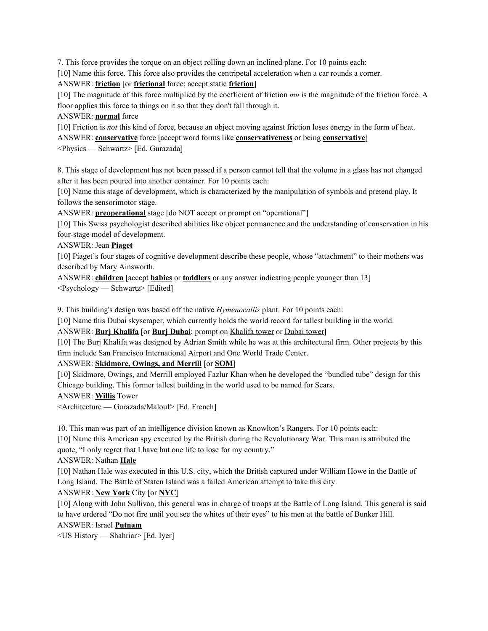7. This force provides the torque on an object rolling down an inclined plane. For 10 points each:

[10] Name this force. This force also provides the centripetal acceleration when a car rounds a corner.

ANSWER: **friction** [or **frictional** force; accept static **friction**]

[10] The magnitude of this force multiplied by the coefficient of friction *mu* is the magnitude of the friction force. A floor applies this force to things on it so that they don't fall through it.

ANSWER: **normal** force

[10] Friction is *not* this kind of force, because an object moving against friction loses energy in the form of heat.

ANSWER: **conservative** force [accept word forms like **conservativeness** or being **conservative**]

<Physics — Schwartz> [Ed. Gurazada]

8. This stage of development has not been passed if a person cannot tell that the volume in a glass has not changed after it has been poured into another container. For 10 points each:

[10] Name this stage of development, which is characterized by the manipulation of symbols and pretend play. It follows the sensorimotor stage.

ANSWER: **preoperational** stage [do NOT accept or prompt on "operational"]

[10] This Swiss psychologist described abilities like object permanence and the understanding of conservation in his four-stage model of development.

ANSWER: Jean **Piaget**

[10] Piaget's four stages of cognitive development describe these people, whose "attachment" to their mothers was described by Mary Ainsworth.

ANSWER: **children** [accept **babies** or **toddlers** or any answer indicating people younger than 13]

<Psychology — Schwartz> [Edited]

9. This building's design was based off the native *Hymenocallis* plant. For 10 points each:

[10] Name this Dubai skyscraper, which currently holds the world record for tallest building in the world.

ANSWER: **Burj Khalifa** [or **Burj Dubai**; prompt on Khalifa tower or Dubai tower**]**

[10] The Burj Khalifa was designed by Adrian Smith while he was at this architectural firm. Other projects by this firm include San Francisco International Airport and One World Trade Center.

#### ANSWER: **Skidmore, Owings, and Merrill** [or **SOM**]

[10] Skidmore, Owings, and Merrill employed Fazlur Khan when he developed the "bundled tube" design for this Chicago building. This former tallest building in the world used to be named for Sears.

ANSWER: **Willis** Tower

<Architecture — Gurazada/Malouf> [Ed. French]

10. This man was part of an intelligence division known as Knowlton's Rangers. For 10 points each:

[10] Name this American spy executed by the British during the Revolutionary War. This man is attributed the quote, "I only regret that I have but one life to lose for my country."

ANSWER: Nathan **Hale**

[10] Nathan Hale was executed in this U.S. city, which the British captured under William Howe in the Battle of Long Island. The Battle of Staten Island was a failed American attempt to take this city.

#### ANSWER: **New York** City [or **NYC**]

[10] Along with John Sullivan, this general was in charge of troops at the Battle of Long Island. This general is said to have ordered "Do not fire until you see the whites of their eyes" to his men at the battle of Bunker Hill.

ANSWER: Israel **Putnam**

<US History — Shahriar> [Ed. Iyer]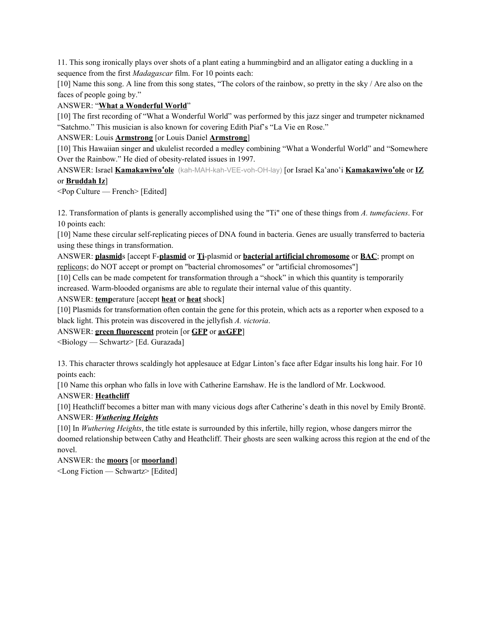11. This song ironically plays over shots of a plant eating a hummingbird and an alligator eating a duckling in a sequence from the first *Madagascar* film. For 10 points each:

[10] Name this song. A line from this song states, "The colors of the rainbow, so pretty in the sky / Are also on the faces of people going by."

#### ANSWER: "**What a Wonderful World**"

[10] The first recording of "What a Wonderful World" was performed by this jazz singer and trumpeter nicknamed "Satchmo." This musician is also known for covering Edith Piaf's "La Vie en Rose."

#### ANSWER: Louis **Armstrong** [or Louis Daniel **Armstrong**]

[10] This Hawaiian singer and ukulelist recorded a medley combining "What a Wonderful World" and "Somewhere Over the Rainbow." He died of obesity-related issues in 1997.

ANSWER: Israel **Kamakawiwo**ʻ**ole** (kah-MAH-kah-VEE-voh-OH-lay) [or Israel Kaʻanoʻi **Kamakawiwo**ʻ**ole** or **IZ** or **Bruddah Iz**]

<Pop Culture — French> [Edited]

12. Transformation of plants is generally accomplished using the "Ti" one of these things from *A. tumefaciens*. For 10 points each:

[10] Name these circular self-replicating pieces of DNA found in bacteria. Genes are usually transferred to bacteria using these things in transformation.

ANSWER: **plasmid**s [accept F-**plasmid** or **Ti**-plasmid or **bacterial artificial chromosome** or **BAC**; prompt on replicons; do NOT accept or prompt on "bacterial chromosomes" or "artificial chromosomes"]

[10] Cells can be made competent for transformation through a "shock" in which this quantity is temporarily increased. Warm-blooded organisms are able to regulate their internal value of this quantity.

ANSWER: **temp**erature [accept **heat** or **heat** shock]

[10] Plasmids for transformation often contain the gene for this protein, which acts as a reporter when exposed to a black light. This protein was discovered in the jellyfish *A. victoria*.

ANSWER: **green fluorescent** protein [or **GFP** or **avGFP**]

<Biology — Schwartz> [Ed. Gurazada]

13. This character throws scaldingly hot applesauce at Edgar Linton's face after Edgar insults his long hair. For 10 points each:

[10 Name this orphan who falls in love with Catherine Earnshaw. He is the landlord of Mr. Lockwood.

ANSWER: **Heathcliff**

[10] Heathcliff becomes a bitter man with many vicious dogs after Catherine's death in this novel by Emily Brontë. ANSWER: *Wuthering Heights*

[10] In *Wuthering Heights*, the title estate is surrounded by this infertile, hilly region, whose dangers mirror the doomed relationship between Cathy and Heathcliff. Their ghosts are seen walking across this region at the end of the novel.

ANSWER: the **moors** [or **moorland**]

<Long Fiction — Schwartz> [Edited]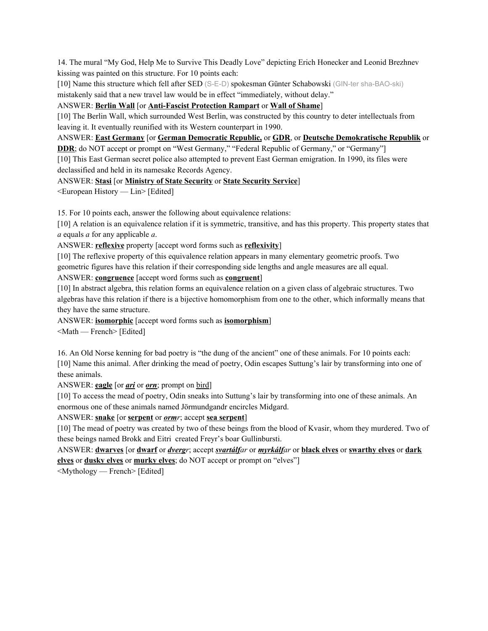14. The mural "My God, Help Me to Survive This Deadly Love" depicting Erich Honecker and Leonid Brezhnev kissing was painted on this structure. For 10 points each:

[10] Name this structure which fell after SED (S-E-D) spokesman Günter Schabowski (GIN-ter sha-BAO-ski) mistakenly said that a new travel law would be in effect "immediately, without delay."

#### ANSWER: **Berlin Wall** [or **Anti-Fascist Protection Rampart** or **Wall of Shame**]

[10] The Berlin Wall, which surrounded West Berlin, was constructed by this country to deter intellectuals from leaving it. It eventually reunified with its Western counterpart in 1990.

ANSWER: **East Germany** [or **German Democratic Republic,** or **GDR**, or **Deutsche Demokratische Republik** or

**DDR**; do NOT accept or prompt on "West Germany," "Federal Republic of Germany," or "Germany"]

[10] This East German secret police also attempted to prevent East German emigration. In 1990, its files were declassified and held in its namesake Records Agency.

ANSWER: **Stasi** [or **Ministry of State Security** or **State Security Service**]

<European History — Lin> [Edited]

15. For 10 points each, answer the following about equivalence relations:

[10] A relation is an equivalence relation if it is symmetric, transitive, and has this property. This property states that *a* equals *a* for any applicable *a*.

ANSWER: **reflexive** property [accept word forms such as **reflexivity**]

[10] The reflexive property of this equivalence relation appears in many elementary geometric proofs. Two geometric figures have this relation if their corresponding side lengths and angle measures are all equal.

ANSWER: **congruence** [accept word forms such as **congruent**]

[10] In abstract algebra, this relation forms an equivalence relation on a given class of algebraic structures. Two algebras have this relation if there is a bijective homomorphism from one to the other, which informally means that they have the same structure.

ANSWER: **isomorphic** [accept word forms such as **isomorphism**]

<Math — French> [Edited]

16. An Old Norse kenning for bad poetry is "the dung of the ancient" one of these animals. For 10 points each: [10] Name this animal. After drinking the mead of poetry, Odin escapes Suttung's lair by transforming into one of these animals.

ANSWER: **eagle** [or *ari* or *orn*; prompt on bird]

[10] To access the mead of poetry, Odin sneaks into Suttung's lair by transforming into one of these animals. An enormous one of these animals named Jörmundgandr encircles Midgard.

ANSWER: **snake** [or **serpent** or *ormr*; accept **sea serpent**]

[10] The mead of poetry was created by two of these beings from the blood of Kvasir, whom they murdered. Two of these beings named Brokk and Eitri created Freyr's boar Gullinbursti.

ANSWER: **dwarves** [or **dwarf** or *dvergr*; accept *svartálfar* or *myrkálfar* or **black elves** or **swarthy elves** or **dark elves** or **dusky elves** or **murky elves**; do NOT accept or prompt on "elves"]

<Mythology — French> [Edited]